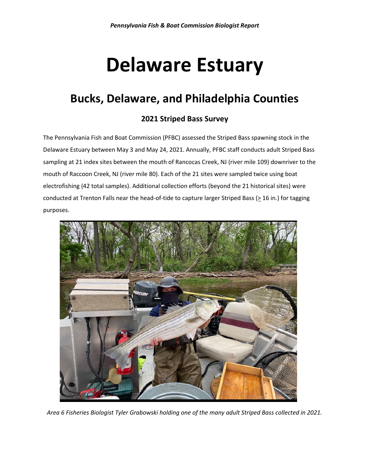# **Delaware Estuary**

## **Bucks, Delaware, and Philadelphia Counties**

### **2021 Striped Bass Survey**

The Pennsylvania Fish and Boat Commission (PFBC) assessed the Striped Bass spawning stock in the Delaware Estuary between May 3 and May 24, 2021. Annually, PFBC staff conducts adult Striped Bass sampling at 21 index sites between the mouth of Rancocas Creek, NJ (river mile 109) downriver to the mouth of Raccoon Creek, NJ (river mile 80). Each of the 21 sites were sampled twice using boat electrofishing (42 total samples). Additional collection efforts (beyond the 21 historical sites) were conducted at Trenton Falls near the head-of-tide to capture larger Striped Bass ( $\geq$  16 in.) for tagging purposes.



*Area 6 Fisheries Biologist Tyler Grabowski holding one of the many adult Striped Bass collected in 2021.*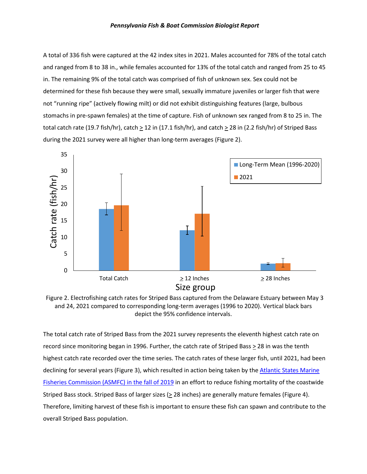A total of 336 fish were captured at the 42 index sites in 2021. Males accounted for 78% of the total catch and ranged from 8 to 38 in., while females accounted for 13% of the total catch and ranged from 25 to 45 in. The remaining 9% of the total catch was comprised of fish of unknown sex. Sex could not be determined for these fish because they were small, sexually immature juveniles or larger fish that were not "running ripe" (actively flowing milt) or did not exhibit distinguishing features (large, bulbous stomachs in pre-spawn females) at the time of capture. Fish of unknown sex ranged from 8 to 25 in. The total catch rate (19.7 fish/hr), catch  $\geq$  12 in (17.1 fish/hr), and catch  $\geq$  28 in (2.2 fish/hr) of Striped Bass during the 2021 survey were all higher than long-term averages (Figure 2).



Figure 2. Electrofishing catch rates for Striped Bass captured from the Delaware Estuary between May 3 and 24, 2021 compared to corresponding long-term averages (1996 to 2020). Vertical black bars depict the 95% confidence intervals.

The total catch rate of Striped Bass from the 2021 survey represents the eleventh highest catch rate on record since monitoring began in 1996. Further, the catch rate of Striped Bass > 28 in was the tenth highest catch rate recorded over the time series. The catch rates of these larger fish, until 2021, had been declining for several years (Figure 3), which resulted in action being taken by the Atlantic States Marine [Fisheries Commission](http://www.asmfc.org/uploads/file/5dc071b0pr35AtlStripedBassAddVI_Approval.pdf) (ASMFC) in the fall of 2019 in an effort to reduce fishing mortality of the coastwide Striped Bass stock. Striped Bass of larger sizes ( $\geq$  28 inches) are generally mature females (Figure 4). Therefore, limiting harvest of these fish is important to ensure these fish can spawn and contribute to the overall Striped Bass population.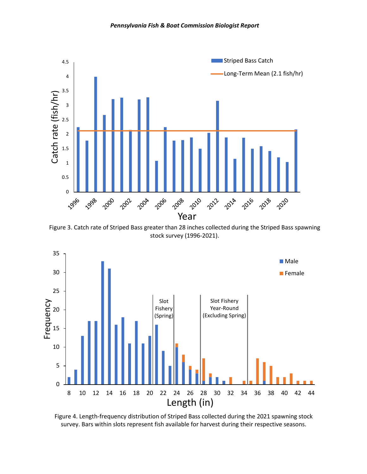

Figure 3. Catch rate of Striped Bass greater than 28 inches collected during the Striped Bass spawning stock survey (1996-2021).



Figure 4. Length-frequency distribution of Striped Bass collected during the 2021 spawning stock survey. Bars within slots represent fish available for harvest during their respective seasons.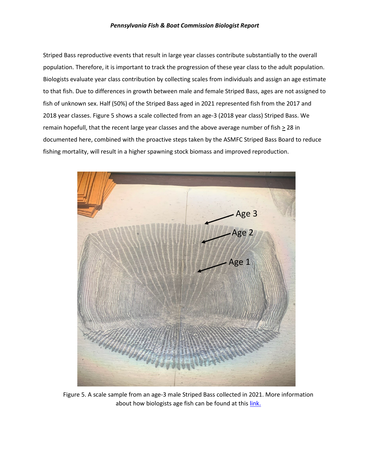#### *Pennsylvania Fish & Boat Commission Biologist Report*

Striped Bass reproductive events that result in large year classes contribute substantially to the overall population. Therefore, it is important to track the progression of these year class to the adult population. Biologists evaluate year class contribution by collecting scales from individuals and assign an age estimate to that fish. Due to differences in growth between male and female Striped Bass, ages are not assigned to fish of unknown sex. Half (50%) of the Striped Bass aged in 2021 represented fish from the 2017 and 2018 year classes. Figure 5 shows a scale collected from an age-3 (2018 year class) Striped Bass. We remain hopefull, that the recent large year classes and the above average number of fish  $\geq$  28 in documented here, combined with the proactive steps taken by the ASMFC Striped Bass Board to reduce fishing mortality, will result in a higher spawning stock biomass and improved reproduction.



Figure 5. A scale sample from an age-3 male Striped Bass collected in 2021. More information about how biologists age fish can be found at this [link.](https://www.fishandboat.com/LearningCenter/ActivitiesAndEducationPortal/Documents/AscaleToTell.pdf)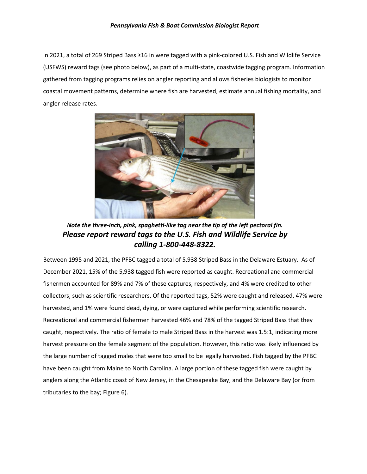#### *Pennsylvania Fish & Boat Commission Biologist Report*

In 2021, a total of 269 Striped Bass ≥16 in were tagged with a pink-colored U.S. Fish and Wildlife Service (USFWS) reward tags (see photo below), as part of a multi-state, coastwide tagging program. Information gathered from tagging programs relies on angler reporting and allows fisheries biologists to monitor coastal movement patterns, determine where fish are harvested, estimate annual fishing mortality, and angler release rates.



*Note the three-inch, pink, spaghetti-like tag near the tip of the left pectoral fin. Please report reward tags to the U.S. Fish and Wildlife Service by calling 1-800-448-8322.*

Between 1995 and 2021, the PFBC tagged a total of 5,938 Striped Bass in the Delaware Estuary. As of December 2021, 15% of the 5,938 tagged fish were reported as caught. Recreational and commercial fishermen accounted for 89% and 7% of these captures, respectively, and 4% were credited to other collectors, such as scientific researchers. Of the reported tags, 52% were caught and released, 47% were harvested, and 1% were found dead, dying, or were captured while performing scientific research. Recreational and commercial fishermen harvested 46% and 78% of the tagged Striped Bass that they caught, respectively. The ratio of female to male Striped Bass in the harvest was 1.5:1, indicating more harvest pressure on the female segment of the population. However, this ratio was likely influenced by the large number of tagged males that were too small to be legally harvested. Fish tagged by the PFBC have been caught from Maine to North Carolina. A large portion of these tagged fish were caught by anglers along the Atlantic coast of New Jersey, in the Chesapeake Bay, and the Delaware Bay (or from tributaries to the bay; Figure 6).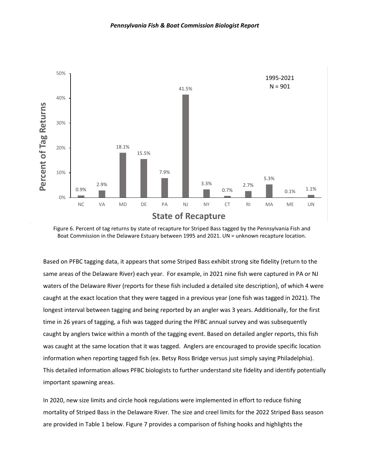

Figure 6. Percent of tag returns by state of recapture for Striped Bass tagged by the Pennsylvania Fish and Boat Commission in the Delaware Estuary between 1995 and 2021. UN = unknown recapture location.

Based on PFBC tagging data, it appears that some Striped Bass exhibit strong site fidelity (return to the same areas of the Delaware River) each year. For example, in 2021 nine fish were captured in PA or NJ waters of the Delaware River (reports for these fish included a detailed site description), of which 4 were caught at the exact location that they were tagged in a previous year (one fish was tagged in 2021). The longest interval between tagging and being reported by an angler was 3 years. Additionally, for the first time in 26 years of tagging, a fish was tagged during the PFBC annual survey and was subsequently caught by anglers twice within a month of the tagging event. Based on detailed angler reports, this fish was caught at the same location that it was tagged. Anglers are encouraged to provide specific location information when reporting tagged fish (ex. Betsy Ross Bridge versus just simply saying Philadelphia). This detailed information allows PFBC biologists to further understand site fidelity and identify potentially important spawning areas.

In 2020, new size limits and circle hook regulations were implemented in effort to reduce fishing mortality of Striped Bass in the Delaware River. The size and creel limits for the 2022 Striped Bass season are provided in Table 1 below. Figure 7 provides a comparison of fishing hooks and highlights the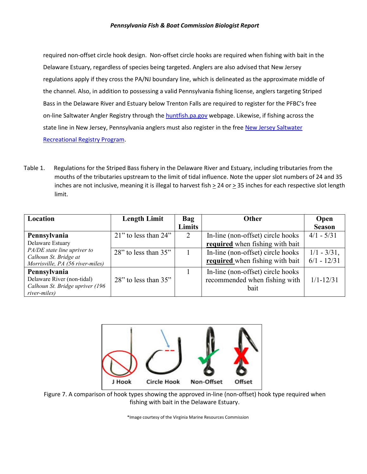required non-offset circle hook design. Non-offset circle hooks are required when fishing with bait in the Delaware Estuary, regardless of species being targeted. Anglers are also advised that New Jersey regulations apply if they cross the PA/NJ boundary line, which is delineated as the approximate middle of the channel. Also, in addition to possessing a valid Pennsylvania fishing license, anglers targeting Striped Bass in the Delaware River and Estuary below Trenton Falls are required to register for the PFBC's free on-line Saltwater Angler Registry through th[e huntfish.pa.gov](https://huntfish.pa.gov/) webpage. Likewise, if fishing across the state line in New Jersey, Pennsylvania anglers must also register in the free New Jersey Saltwater [Recreational Registry Program.](https://www.nj.gov/dep/saltwaterregistry/index.html)

Table 1. Regulations for the Striped Bass fishery in the Delaware River and Estuary, including tributaries from the mouths of the tributaries upstream to the limit of tidal influence. Note the upper slot numbers of 24 and 35 inches are not inclusive, meaning it is illegal to harvest fish  $\geq$  24 or  $\geq$  35 inches for each respective slot length limit.

| Location                                                  | <b>Length Limit</b>        | Bag    | <b>Other</b>                      | Open           |
|-----------------------------------------------------------|----------------------------|--------|-----------------------------------|----------------|
|                                                           |                            | Limits |                                   | <b>Season</b>  |
| Pennsylvania                                              | $21$ " to less than $24$ " | 2      | In-line (non-offset) circle hooks | $4/1 - 5/31$   |
| Delaware Estuary                                          |                            |        | required when fishing with bait   |                |
| PA/DE state line upriver to                               | $28$ " to less than $35$ " |        | In-line (non-offset) circle hooks | $1/1 - 3/31$ , |
| Calhoun St. Bridge at<br>Morrisville, PA (56 river-miles) |                            |        | required when fishing with bait   | $6/1 - 12/31$  |
| Pennsylvania                                              |                            |        | In-line (non-offset) circle hooks |                |
| Delaware River (non-tidal)                                | $28$ " to less than $35$ " |        | recommended when fishing with     | $1/1 - 12/31$  |
| Calhoun St. Bridge upriver (196                           |                            |        | bait                              |                |
| river-miles)                                              |                            |        |                                   |                |



Figure 7. A comparison of hook types showing the approved in-line (non-offset) hook type required when fishing with bait in the Delaware Estuary.

\*Image courtesy of the Virginia Marine Resources Commission